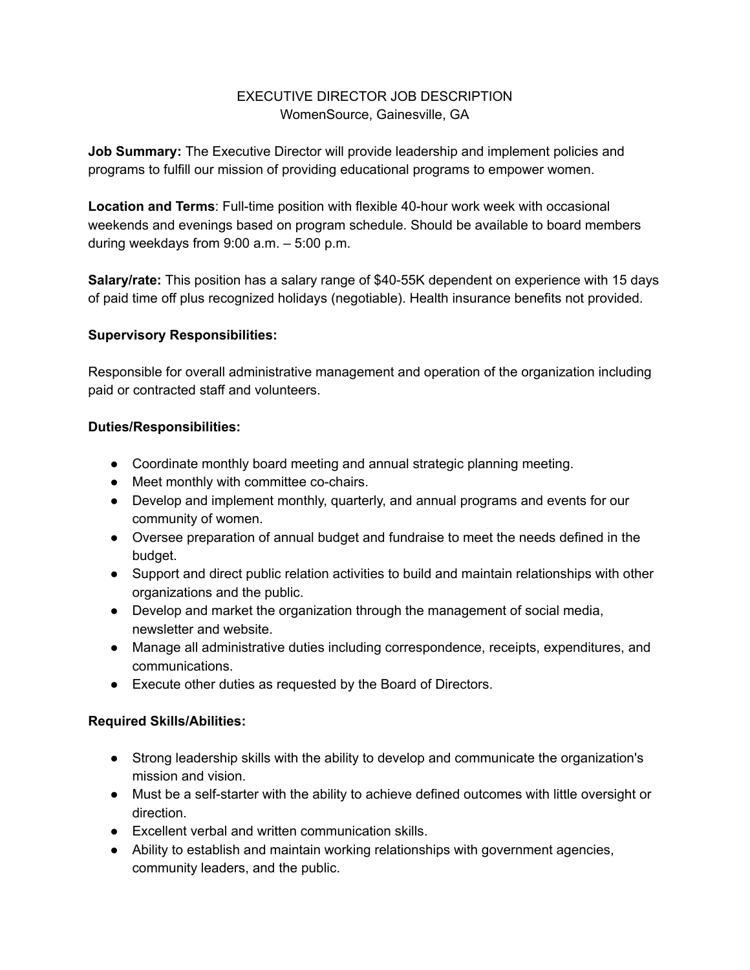# EXECUTIVE DIRECTOR JOB DESCRIPTION WomenSource, Gainesville, GA

**Job Summary:** The Executive Director will provide leadership and implement policies and programs to fulfill our mission of providing educational programs to empower women.

**Location and Terms**: Full-time position with flexible 40-hour work week with occasional weekends and evenings based on program schedule. Should be available to board members during weekdays from 9:00 a.m. – 5:00 p.m.

**Salary/rate:** This position has a salary range of \$40-55K dependent on experience with 15 days of paid time off plus recognized holidays (negotiable). Health insurance benefits not provided.

## **Supervisory Responsibilities:**

Responsible for overall administrative management and operation of the organization including paid or contracted staff and volunteers.

## **Duties/Responsibilities:**

- Coordinate monthly board meeting and annual strategic planning meeting.
- Meet monthly with committee co-chairs.
- Develop and implement monthly, quarterly, and annual programs and events for our community of women.
- Oversee preparation of annual budget and fundraise to meet the needs defined in the budget.
- Support and direct public relation activities to build and maintain relationships with other organizations and the public.
- Develop and market the organization through the management of social media, newsletter and website.
- Manage all administrative duties including correspondence, receipts, expenditures, and communications.
- Execute other duties as requested by the Board of Directors.

## **Required Skills/Abilities:**

- Strong leadership skills with the ability to develop and communicate the organization's mission and vision.
- Must be a self-starter with the ability to achieve defined outcomes with little oversight or direction.
- Excellent verbal and written communication skills.
- Ability to establish and maintain working relationships with government agencies, community leaders, and the public.